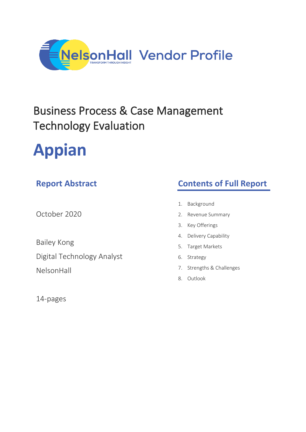

## Business Process & Case Management Technology Evaluation

# **Appian**

## **Report Abstract**

October 2020

Bailey Kong

Digital Technology Analyst NelsonHall

14-pages

## **Contents of Full Report**

- 1. Background
- 2. Revenue Summary
- 3. Key Offerings
- 4. Delivery Capability
- 5. Target Markets
- 6. Strategy
- 7. Strengths & Challenges
- 8. Outlook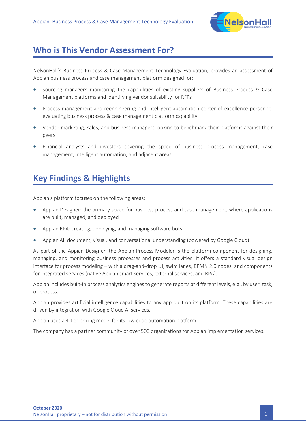

#### **Who is This Vendor Assessment For?**

NelsonHall's Business Process & Case Management Technology Evaluation, provides an assessment of Appian business process and case management platform designed for:

- Sourcing managers monitoring the capabilities of existing suppliers of Business Process & Case Management platforms and identifying vendor suitability for RFPs
- Process management and reengineering and intelligent automation center of excellence personnel evaluating business process & case management platform capability
- Vendor marketing, sales, and business managers looking to benchmark their platforms against their peers
- Financial analysts and investors covering the space of business process management, case management, intelligent automation, and adjacent areas.

## **Key Findings & Highlights**

Appian's platform focuses on the following areas:

- Appian Designer: the primary space for business process and case management, where applications are built, managed, and deployed
- Appian RPA: creating, deploying, and managing software bots
- Appian AI: document, visual, and conversational understanding (powered by Google Cloud)

As part of the Appian Designer, the Appian Process Modeler is the platform component for designing, managing, and monitoring business processes and process activities. It offers a standard visual design interface for process modeling – with a drag-and-drop UI, swim lanes, BPMN 2.0 nodes, and components for integrated services (native Appian smart services, external services, and RPA).

Appian includes built-in process analytics engines to generate reports at different levels, e.g., by user, task, or process.

Appian provides artificial intelligence capabilities to any app built on its platform. These capabilities are driven by integration with Google Cloud AI services.

Appian uses a 4-tier pricing model for its low-code automation platform.

The company has a partner community of over 500 organizations for Appian implementation services.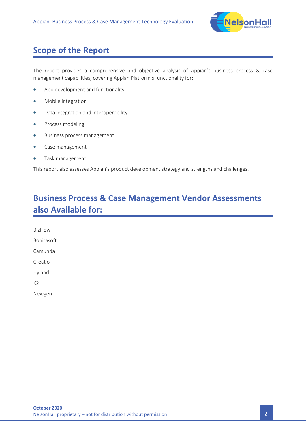

### **Scope of the Report**

The report provides a comprehensive and objective analysis of Appian's business process & case management capabilities, covering Appian Platform's functionality for:

- App development and functionality
- Mobile integration
- Data integration and interoperability
- Process modeling
- Business process management
- Case management
- Task management.

This report also assesses Appian's product development strategy and strengths and challenges.

## **Business Process & Case Management Vendor Assessments also Available for:**

BizFlow Bonitasoft Camunda Creatio Hyland K2 Newgen